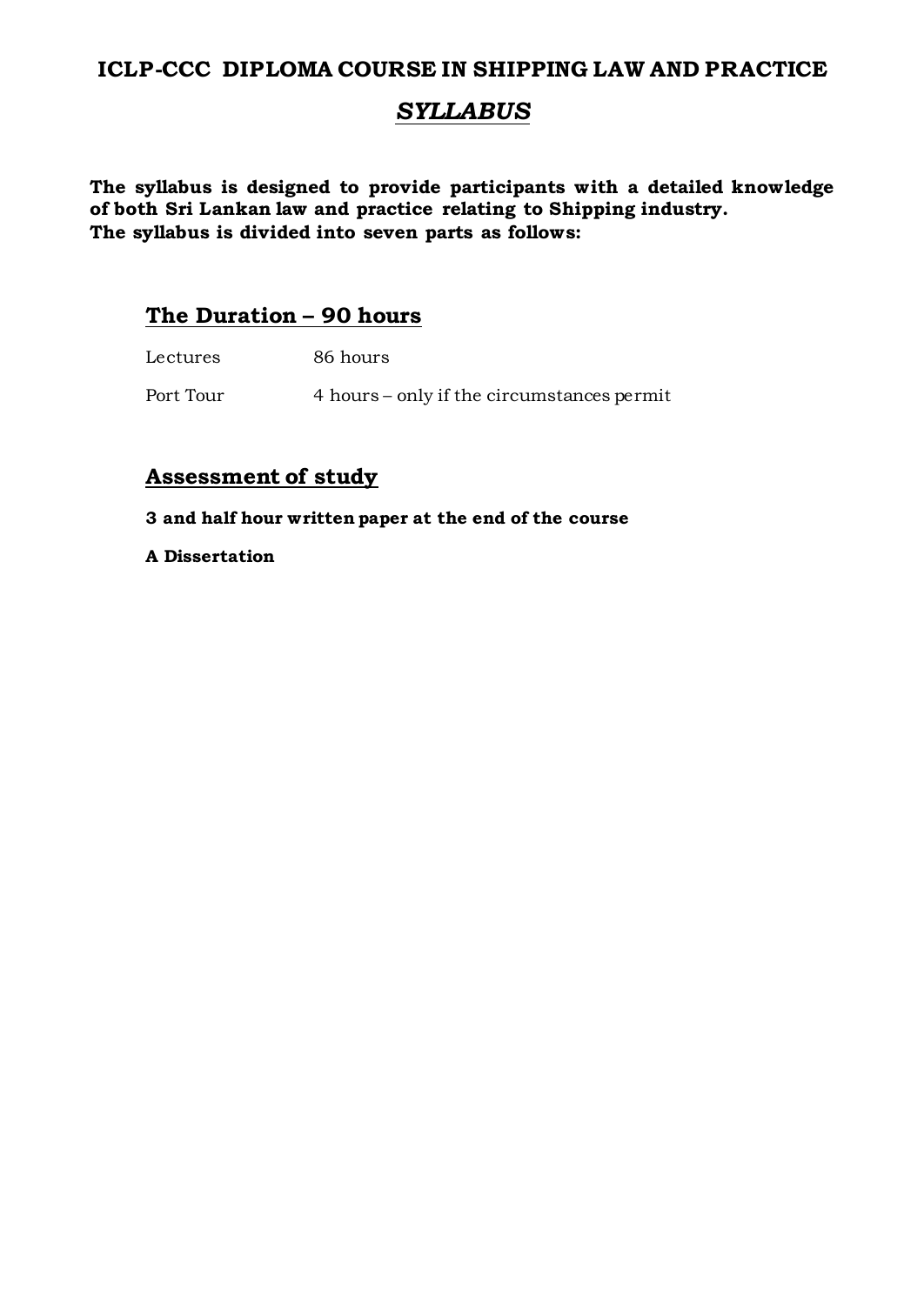# **ICLP-CCC DIPLOMA COURSE IN SHIPPING LAW AND PRACTICE**

# *SYLLABUS*

**The syllabus is designed to provide participants with a detailed knowledge of both Sri Lankan law and practice relating to Shipping industry. The syllabus is divided into seven parts as follows:**

# **The Duration – 90 hours**

| Lectures  | 86 hours                                   |
|-----------|--------------------------------------------|
| Port Tour | 4 hours – only if the circumstances permit |

# **Assessment of study**

**3 and half hour written paper at the end of the course**

**A Dissertation**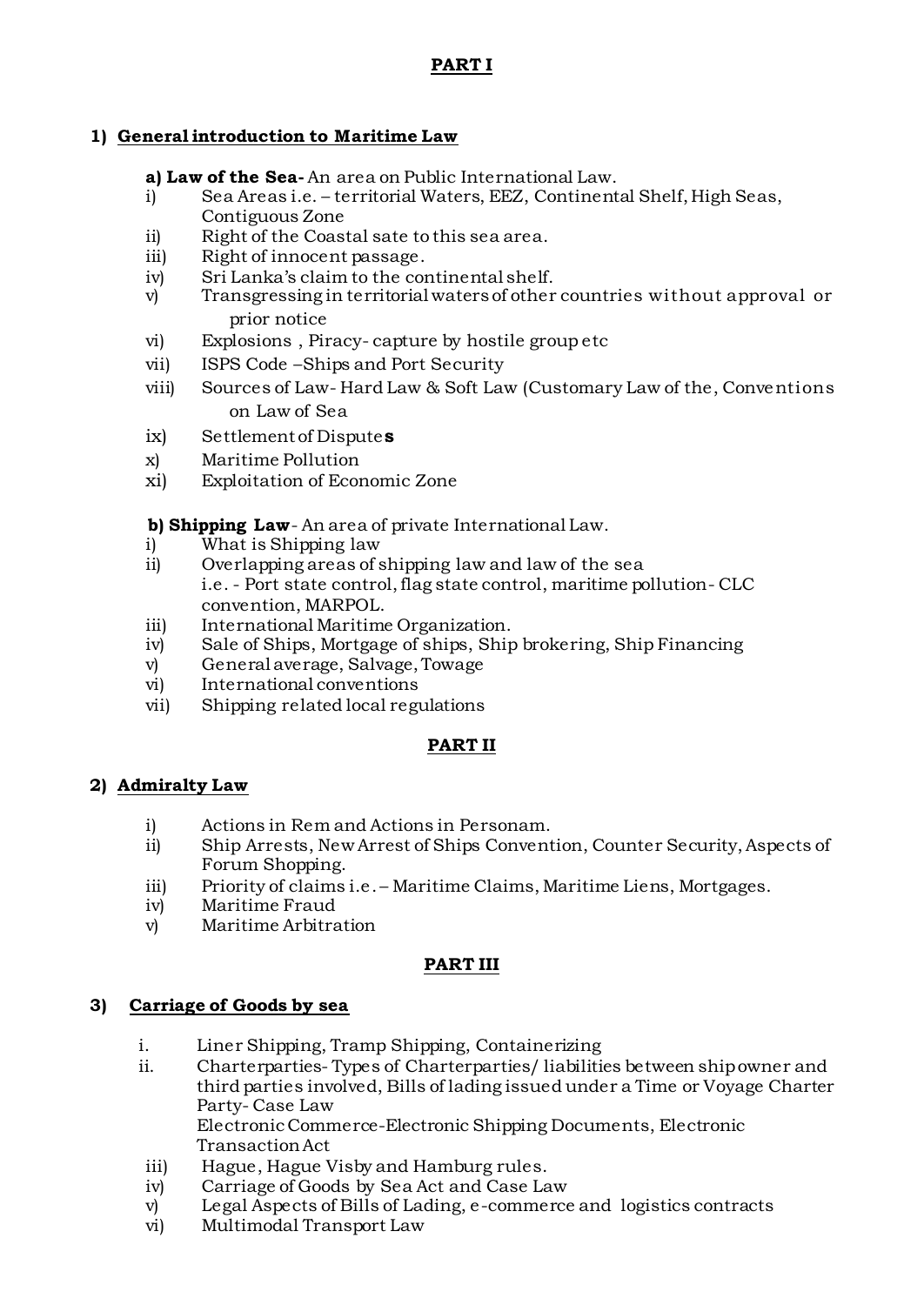# **PART I**

# **1) General introduction to Maritime Law**

**a) Law of the Sea-** An area on Public International Law.

- i) Sea Areas i.e. territorial Waters, EEZ, Continental Shelf, High Seas, Contiguous Zone
- ii) Right of the Coastal sate to this sea area.
- iii) Right of innocent passage.
- iv) Sri Lanka's claim to the continental shelf.
- v) Transgressing in territorial waters of other countries without approval or prior notice
- vi) Explosions , Piracy- capture by hostile group etc
- vii) ISPS Code –Ships and Port Security
- viii) Sources of Law- Hard Law & Soft Law (Customary Law of the, Conventions on Law of Sea
- ix) Settlement of Dispute**s**
- x) Maritime Pollution
- xi) Exploitation of Economic Zone

 **b) Shipping Law**- An area of private International Law.

- i) What is Shipping law
- ii) Overlapping areas of shipping law and law of the sea i.e. - Port state control, flag state control, maritime pollution- CLC convention, MARPOL.
- iii) International Maritime Organization.
- iv) Sale of Ships, Mortgage of ships, Ship brokering, Ship Financing
- v) General average, Salvage, Towage
- vi) International conventions
- vii) Shipping related local regulations

# **PART II**

# **2) Admiralty Law**

- i) Actions in Rem and Actions in Personam.
- ii) Ship Arrests, New Arrest of Ships Convention, Counter Security, Aspects of Forum Shopping.
- iii) Priority of claims i.e. Maritime Claims, Maritime Liens, Mortgages.
- iv) Maritime Fraud
- v) Maritime Arbitration

#### **PART III**

#### **3) Carriage of Goods by sea**

- i. Liner Shipping, Tramp Shipping, Containerizing
- ii. Charterparties- Types of Charterparties/ liabilities between ship owner and third parties involved, Bills of lading issued under a Time or Voyage Charter Party- Case Law Electronic Commerce-Electronic Shipping Documents, Electronic

Transaction Act

- iii) Hague, Hague Visby and Hamburg rules.
- iv) Carriage of Goods by Sea Act and Case Law
- v) Legal Aspects of Bills of Lading, e-commerce and logistics contracts
- vi) Multimodal Transport Law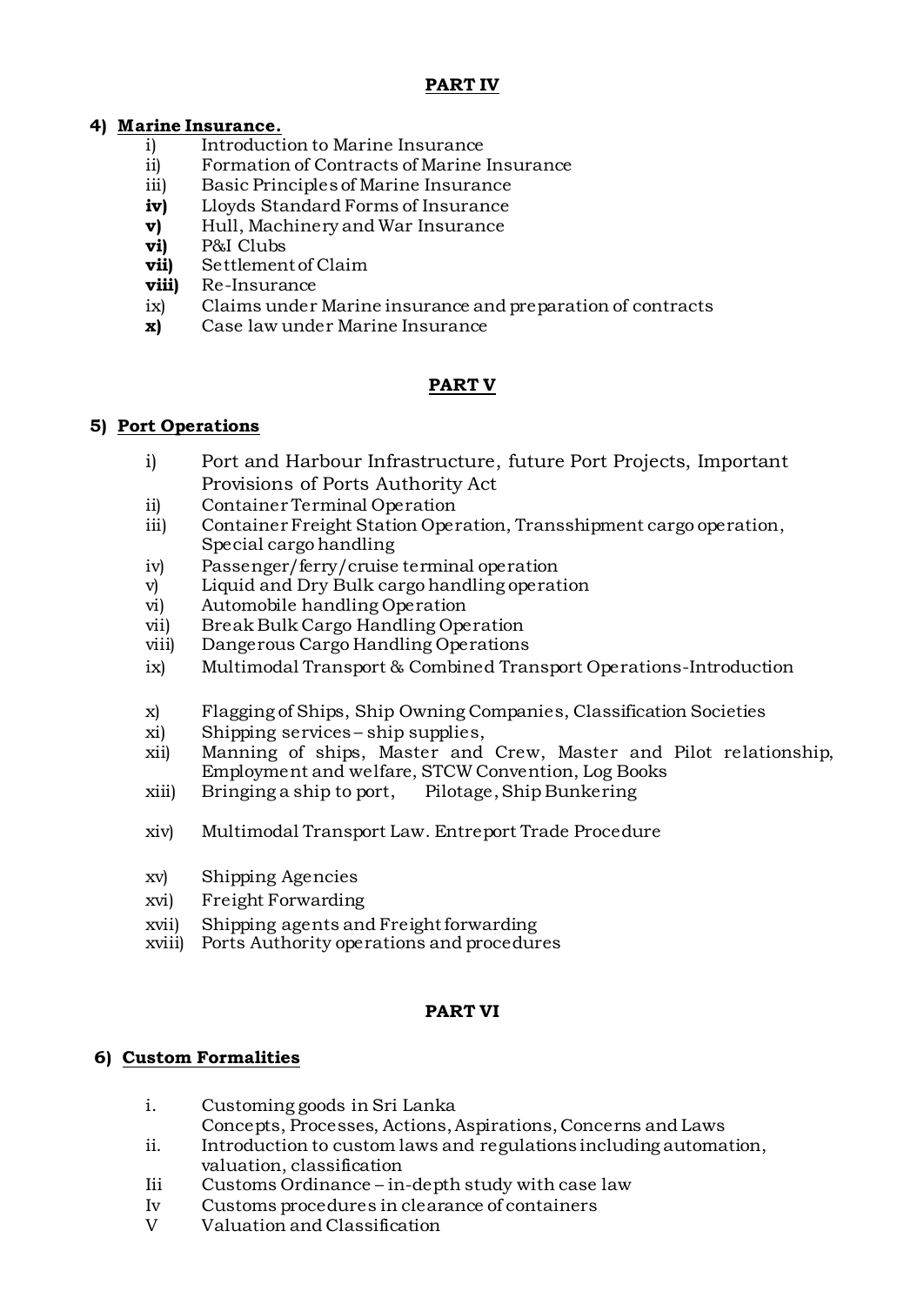# **PART IV**

# **4) Marine Insurance.**

- i) Introduction to Marine Insurance
- ii) Formation of Contracts of Marine Insurance
- iii) Basic Principles of Marine Insurance
- **iv)** Lloyds Standard Forms of Insurance
- **v)** Hull, Machinery and War Insurance
- **vi)** P&I Clubs
- **vii)** Settlement of Claim
- **viii)** Re-Insurance
- ix) Claims under Marine insurance and preparation of contracts
- **x)** Case law under Marine Insurance

# **PART V**

#### **5) Port Operations**

- i) Port and Harbour Infrastructure, future Port Projects, Important Provisions of Ports Authority Act
- ii) Container Terminal Operation
- iii) Container Freight Station Operation, Transshipment cargo operation, Special cargo handling
- iv) Passenger/ferry/cruise terminal operation
- v) Liquid and Dry Bulk cargo handling operation
- vi) Automobile handling Operation
- vii) Break Bulk Cargo Handling Operation
- viii) Dangerous Cargo Handling Operations
- ix) Multimodal Transport & Combined Transport Operations-Introduction
- x) Flagging of Ships, Ship Owning Companies, Classification Societies
- xi) Shipping services ship supplies,
- xii) Manning of ships, Master and Crew, Master and Pilot relationship, Employment and welfare, STCW Convention, Log Books
- xiii) Bringing a ship to port, Pilotage, Ship Bunkering
- xiv) Multimodal Transport Law. Entreport Trade Procedure
- xv) Shipping Agencies
- xvi) Freight Forwarding
- xvii) Shipping agents and Freight forwarding
- xviii) Ports Authority operations and procedures

#### **PART VI**

# **6) Custom Formalities**

- i. Customing goods in Sri Lanka
	- Concepts, Processes, Actions, Aspirations, Concerns and Laws
- ii. Introduction to custom laws and regulations including automation, valuation, classification
- Iii Customs Ordinance in-depth study with case law
- Iv Customs procedures in clearance of containers
- V Valuation and Classification